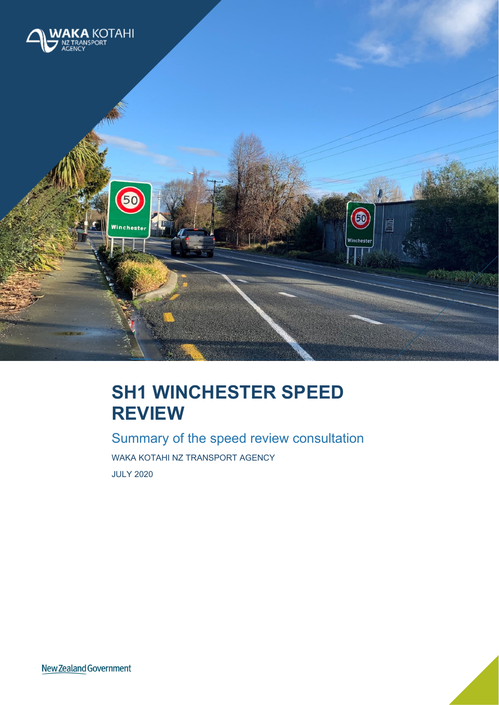

# **SH1 WINCHESTER SPEED REVIEW**

Summary of the speed review consultation WAKA KOTAHI NZ TRANSPORT AGENCY JULY 2020

New Zealand Government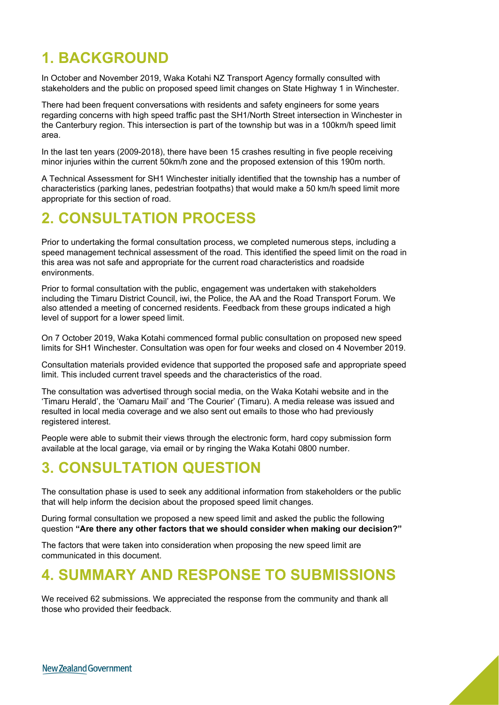#### **1. BACKGROUND**

In October and November 2019, Waka Kotahi NZ Transport Agency formally consulted with stakeholders and the public on proposed speed limit changes on State Highway 1 in Winchester.

There had been frequent conversations with residents and safety engineers for some years regarding concerns with high speed traffic past the SH1/North Street intersection in Winchester in the Canterbury region. This intersection is part of the township but was in a 100km/h speed limit area.

In the last ten years (2009-2018), there have been 15 crashes resulting in five people receiving minor injuries within the current 50km/h zone and the proposed extension of this 190m north.

A Technical Assessment for SH1 Winchester initially identified that the township has a number of characteristics (parking lanes, pedestrian footpaths) that would make a 50 km/h speed limit more appropriate for this section of road.

#### **2. CONSULTATION PROCESS**

Prior to undertaking the formal consultation process, we completed numerous steps, including a speed management technical assessment of the road. This identified the speed limit on the road in this area was not safe and appropriate for the current road characteristics and roadside environments.

Prior to formal consultation with the public, engagement was undertaken with stakeholders including the Timaru District Council, iwi, the Police, the AA and the Road Transport Forum. We also attended a meeting of concerned residents. Feedback from these groups indicated a high level of support for a lower speed limit.

On 7 October 2019, Waka Kotahi commenced formal public consultation on proposed new speed limits for SH1 Winchester. Consultation was open for four weeks and closed on 4 November 2019.

Consultation materials provided evidence that supported the proposed safe and appropriate speed limit. This included current travel speeds and the characteristics of the road.

The consultation was advertised through social media, on the Waka Kotahi website and in the 'Timaru Herald', the 'Oamaru Mail' and 'The Courier' (Timaru). A media release was issued and resulted in local media coverage and we also sent out emails to those who had previously registered interest.

People were able to submit their views through the electronic form, hard copy submission form available at the local garage, via email or by ringing the Waka Kotahi 0800 number.

#### **3. CONSULTATION QUESTION**

The consultation phase is used to seek any additional information from stakeholders or the public that will help inform the decision about the proposed speed limit changes.

During formal consultation we proposed a new speed limit and asked the public the following question **"Are there any other factors that we should consider when making our decision?"** 

The factors that were taken into consideration when proposing the new speed limit are communicated in this document.

#### **4. SUMMARY AND RESPONSE TO SUBMISSIONS**

We received 62 submissions. We appreciated the response from the community and thank all those who provided their feedback.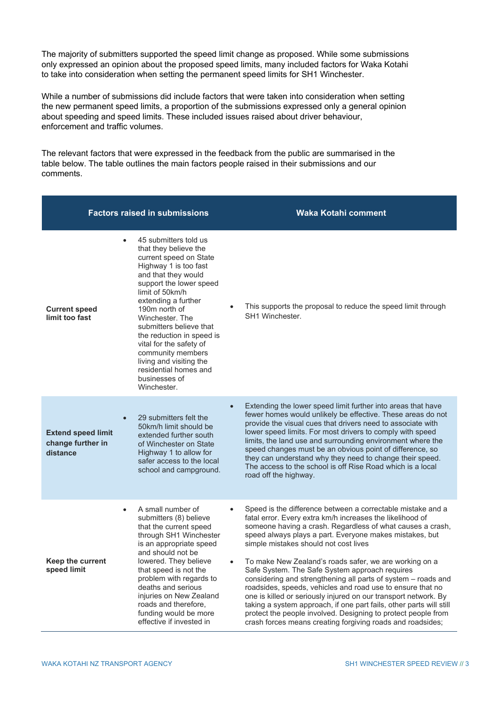The majority of submitters supported the speed limit change as proposed. While some submissions only expressed an opinion about the proposed speed limits, many included factors for Waka Kotahi to take into consideration when setting the permanent speed limits for SH1 Winchester.

While a number of submissions did include factors that were taken into consideration when setting the new permanent speed limits, a proportion of the submissions expressed only a general opinion about speeding and speed limits. These included issues raised about driver behaviour, enforcement and traffic volumes.

The relevant factors that were expressed in the feedback from the public are summarised in the table below. The table outlines the main factors people raised in their submissions and our comments.

| <b>Factors raised in submissions</b>                                    |                                                                                                                                                                                                                                                                                                                                                                                                                               | <b>Waka Kotahi comment</b> |                                                                                                                                                                                                                                                                                                                                                                                                                                                                                                                                                                                                                                                                                                                                                                                                                |
|-------------------------------------------------------------------------|-------------------------------------------------------------------------------------------------------------------------------------------------------------------------------------------------------------------------------------------------------------------------------------------------------------------------------------------------------------------------------------------------------------------------------|----------------------------|----------------------------------------------------------------------------------------------------------------------------------------------------------------------------------------------------------------------------------------------------------------------------------------------------------------------------------------------------------------------------------------------------------------------------------------------------------------------------------------------------------------------------------------------------------------------------------------------------------------------------------------------------------------------------------------------------------------------------------------------------------------------------------------------------------------|
| <b>Current speed</b><br>limit too fast                                  | 45 submitters told us<br>that they believe the<br>current speed on State<br>Highway 1 is too fast<br>and that they would<br>support the lower speed<br>limit of 50km/h<br>extending a further<br>190m north of<br>Winchester, The<br>submitters believe that<br>the reduction in speed is<br>vital for the safety of<br>community members<br>living and visiting the<br>residential homes and<br>businesses of<br>Winchester. |                            | This supports the proposal to reduce the speed limit through<br>SH1 Winchester.                                                                                                                                                                                                                                                                                                                                                                                                                                                                                                                                                                                                                                                                                                                                |
| $\bullet$<br><b>Extend speed limit</b><br>change further in<br>distance | 29 submitters felt the<br>50km/h limit should be<br>extended further south<br>of Winchester on State<br>Highway 1 to allow for<br>safer access to the local<br>school and campground.                                                                                                                                                                                                                                         | $\bullet$                  | Extending the lower speed limit further into areas that have<br>fewer homes would unlikely be effective. These areas do not<br>provide the visual cues that drivers need to associate with<br>lower speed limits. For most drivers to comply with speed<br>limits, the land use and surrounding environment where the<br>speed changes must be an obvious point of difference, so<br>they can understand why they need to change their speed.<br>The access to the school is off Rise Road which is a local<br>road off the highway.                                                                                                                                                                                                                                                                           |
| $\bullet$<br>Keep the current<br>speed limit                            | A small number of<br>submitters (8) believe<br>that the current speed<br>through SH1 Winchester<br>is an appropriate speed<br>and should not be<br>lowered. They believe<br>that speed is not the<br>problem with regards to<br>deaths and serious<br>injuries on New Zealand<br>roads and therefore,<br>funding would be more<br>effective if invested in                                                                    | $\bullet$<br>$\bullet$     | Speed is the difference between a correctable mistake and a<br>fatal error. Every extra km/h increases the likelihood of<br>someone having a crash. Regardless of what causes a crash,<br>speed always plays a part. Everyone makes mistakes, but<br>simple mistakes should not cost lives<br>To make New Zealand's roads safer, we are working on a<br>Safe System. The Safe System approach requires<br>considering and strengthening all parts of system – roads and<br>roadsides, speeds, vehicles and road use to ensure that no<br>one is killed or seriously injured on our transport network. By<br>taking a system approach, if one part fails, other parts will still<br>protect the people involved. Designing to protect people from<br>crash forces means creating forgiving roads and roadsides; |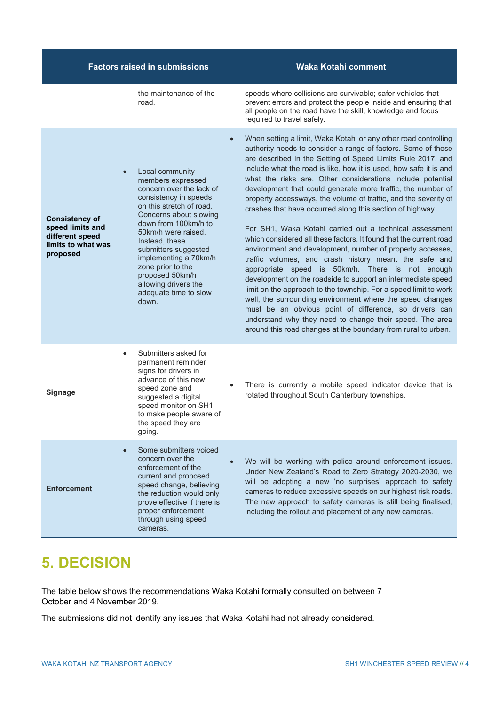| <b>Factors raised in submissions</b>                                                                        |                                                                                                                                                                                                                                                                                                                                                                                  | <b>Waka Kotahi comment</b>                                                                                                                                                                                                                                                                                                                                                                                                                                                                                                                                                                                                                                                                                                                                                                                                                                                                                                                                                                                                                                                                                                                                                                                                           |
|-------------------------------------------------------------------------------------------------------------|----------------------------------------------------------------------------------------------------------------------------------------------------------------------------------------------------------------------------------------------------------------------------------------------------------------------------------------------------------------------------------|--------------------------------------------------------------------------------------------------------------------------------------------------------------------------------------------------------------------------------------------------------------------------------------------------------------------------------------------------------------------------------------------------------------------------------------------------------------------------------------------------------------------------------------------------------------------------------------------------------------------------------------------------------------------------------------------------------------------------------------------------------------------------------------------------------------------------------------------------------------------------------------------------------------------------------------------------------------------------------------------------------------------------------------------------------------------------------------------------------------------------------------------------------------------------------------------------------------------------------------|
|                                                                                                             | the maintenance of the<br>road.                                                                                                                                                                                                                                                                                                                                                  | speeds where collisions are survivable; safer vehicles that<br>prevent errors and protect the people inside and ensuring that<br>all people on the road have the skill, knowledge and focus<br>required to travel safely.                                                                                                                                                                                                                                                                                                                                                                                                                                                                                                                                                                                                                                                                                                                                                                                                                                                                                                                                                                                                            |
| $\bullet$<br><b>Consistency of</b><br>speed limits and<br>different speed<br>limits to what was<br>proposed | $\bullet$<br>Local community<br>members expressed<br>concern over the lack of<br>consistency in speeds<br>on this stretch of road.<br>Concerns about slowing<br>down from 100km/h to<br>50km/h were raised.<br>Instead, these<br>submitters suggested<br>implementing a 70km/h<br>zone prior to the<br>proposed 50km/h<br>allowing drivers the<br>adequate time to slow<br>down. | When setting a limit, Waka Kotahi or any other road controlling<br>authority needs to consider a range of factors. Some of these<br>are described in the Setting of Speed Limits Rule 2017, and<br>include what the road is like, how it is used, how safe it is and<br>what the risks are. Other considerations include potential<br>development that could generate more traffic, the number of<br>property accessways, the volume of traffic, and the severity of<br>crashes that have occurred along this section of highway.<br>For SH1, Waka Kotahi carried out a technical assessment<br>which considered all these factors. It found that the current road<br>environment and development, number of property accesses,<br>traffic volumes, and crash history meant the safe and<br>appropriate speed is 50km/h. There is not enough<br>development on the roadside to support an intermediate speed<br>limit on the approach to the township. For a speed limit to work<br>well, the surrounding environment where the speed changes<br>must be an obvious point of difference, so drivers can<br>understand why they need to change their speed. The area<br>around this road changes at the boundary from rural to urban. |
| $\bullet$<br><b>Signage</b>                                                                                 | Submitters asked for<br>permanent reminder<br>signs for drivers in<br>advance of this new<br>speed zone and<br>suggested a digital<br>speed monitor on SH1<br>to make people aware of<br>the speed they are<br>going.                                                                                                                                                            | There is currently a mobile speed indicator device that is<br>rotated throughout South Canterbury townships.                                                                                                                                                                                                                                                                                                                                                                                                                                                                                                                                                                                                                                                                                                                                                                                                                                                                                                                                                                                                                                                                                                                         |
| <b>Enforcement</b>                                                                                          | Some submitters voiced<br>concern over the<br>enforcement of the<br>current and proposed<br>speed change, believing<br>the reduction would only<br>prove effective if there is<br>proper enforcement<br>through using speed<br>cameras.                                                                                                                                          | We will be working with police around enforcement issues.<br>Under New Zealand's Road to Zero Strategy 2020-2030, we<br>will be adopting a new 'no surprises' approach to safety<br>cameras to reduce excessive speeds on our highest risk roads.<br>The new approach to safety cameras is still being finalised,<br>including the rollout and placement of any new cameras.                                                                                                                                                                                                                                                                                                                                                                                                                                                                                                                                                                                                                                                                                                                                                                                                                                                         |

## **5. DECISION**

The table below shows the recommendations Waka Kotahi formally consulted on between 7 October and 4 November 2019.

The submissions did not identify any issues that Waka Kotahi had not already considered.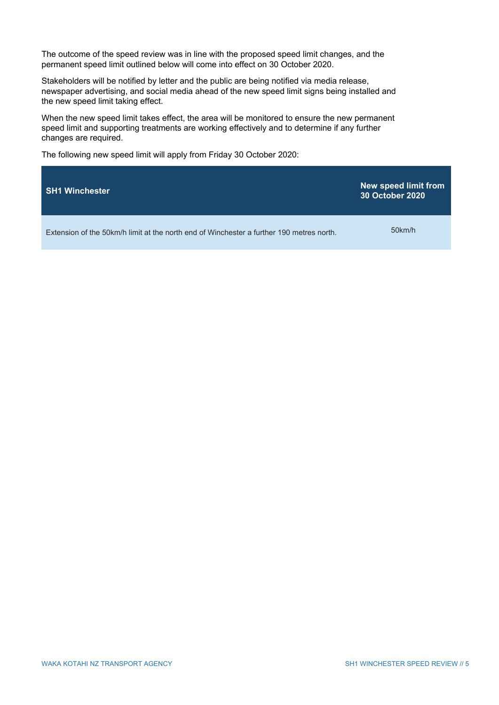The outcome of the speed review was in line with the proposed speed limit changes, and the permanent speed limit outlined below will come into effect on 30 October 2020.

Stakeholders will be notified by letter and the public are being notified via media release, newspaper advertising, and social media ahead of the new speed limit signs being installed and the new speed limit taking effect.

When the new speed limit takes effect, the area will be monitored to ensure the new permanent speed limit and supporting treatments are working effectively and to determine if any further changes are required.

The following new speed limit will apply from Friday 30 October 2020:

| <b>SH1 Winchester</b>                                                                    | <b>New speed limit from</b><br><b>30 October 2020</b> |
|------------------------------------------------------------------------------------------|-------------------------------------------------------|
| Extension of the 50km/h limit at the north end of Winchester a further 190 metres north. | 50km/h                                                |